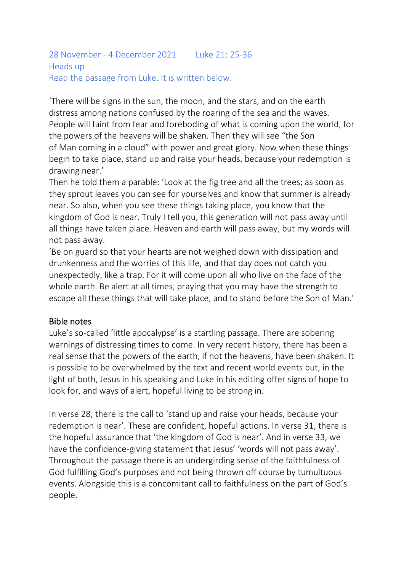```
28 November - 4 December 2021 Luke 21: 25-36
Heads up
Read the passage from Luke. It is written below.
```
'There will be signs in the sun, the moon, and the stars, and on the earth distress among nations confused by the roaring of the sea and the waves. People will faint from fear and foreboding of what is coming upon the world, for the powers of the heavens will be shaken. Then they will see "the Son of Man coming in a cloud" with power and great glory. Now when these things begin to take place, stand up and raise your heads, because your redemption is drawing near.'

Then he told them a parable: 'Look at the fig tree and all the trees; as soon as they sprout leaves you can see for yourselves and know that summer is already near. So also, when you see these things taking place, you know that the kingdom of God is near. Truly I tell you, this generation will not pass away until all things have taken place. Heaven and earth will pass away, but my words will not pass away.

'Be on guard so that your hearts are not weighed down with dissipation and drunkenness and the worries of this life, and that day does not catch you unexpectedly, like a trap. For it will come upon all who live on the face of the whole earth. Be alert at all times, praying that you may have the strength to escape all these things that will take place, and to stand before the Son of Man.'

### Bible notes

Luke's so-called 'little apocalypse' is a startling passage. There are sobering warnings of distressing times to come. In very recent history, there has been a real sense that the powers of the earth, if not the heavens, have been shaken. It is possible to be overwhelmed by the text and recent world events but, in the light of both, Jesus in his speaking and Luke in his editing offer signs of hope to look for, and ways of alert, hopeful living to be strong in.

In verse 28, there is the call to 'stand up and raise your heads, because your redemption is near'. These are confident, hopeful actions. In verse 31, there is the hopeful assurance that 'the kingdom of God is near'. And in verse 33, we have the confidence-giving statement that Jesus' 'words will not pass away'. Throughout the passage there is an undergirding sense of the faithfulness of God fulfilling God's purposes and not being thrown off course by tumultuous events. Alongside this is a concomitant call to faithfulness on the part of God's people.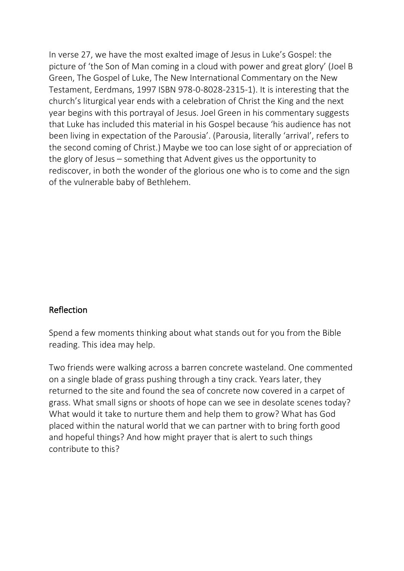In verse 27, we have the most exalted image of Jesus in Luke's Gospel: the picture of 'the Son of Man coming in a cloud with power and great glory' (Joel B Green, The Gospel of Luke, The New International Commentary on the New Testament, Eerdmans, 1997 ISBN 978-0-8028-2315-1). It is interesting that the church's liturgical year ends with a celebration of Christ the King and the next year begins with this portrayal of Jesus. Joel Green in his commentary suggests that Luke has included this material in his Gospel because 'his audience has not been living in expectation of the Parousia'. (Parousia, literally 'arrival', refers to the second coming of Christ.) Maybe we too can lose sight of or appreciation of the glory of Jesus – something that Advent gives us the opportunity to rediscover, in both the wonder of the glorious one who is to come and the sign of the vulnerable baby of Bethlehem.

### Reflection

Spend a few moments thinking about what stands out for you from the Bible reading. This idea may help.

Two friends were walking across a barren concrete wasteland. One commented on a single blade of grass pushing through a tiny crack. Years later, they returned to the site and found the sea of concrete now covered in a carpet of grass. What small signs or shoots of hope can we see in desolate scenes today? What would it take to nurture them and help them to grow? What has God placed within the natural world that we can partner with to bring forth good and hopeful things? And how might prayer that is alert to such things contribute to this?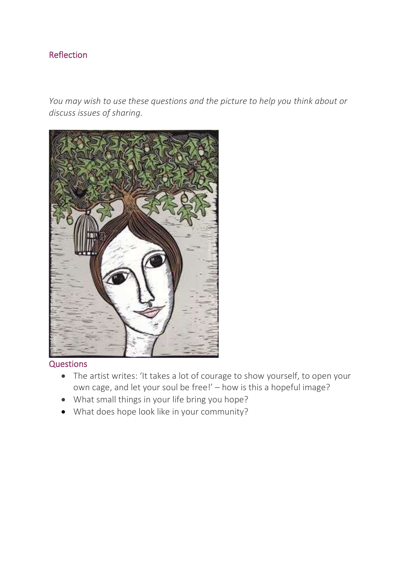# Reflection

*You may wish to use these questions and the picture to help you think about or discuss issues of sharing.*



#### **Questions**

- The artist writes: 'It takes a lot of courage to show yourself, to open your own cage, and let your soul be free!' – how is this a hopeful image?
- What small things in your life bring you hope?
- What does hope look like in your community?